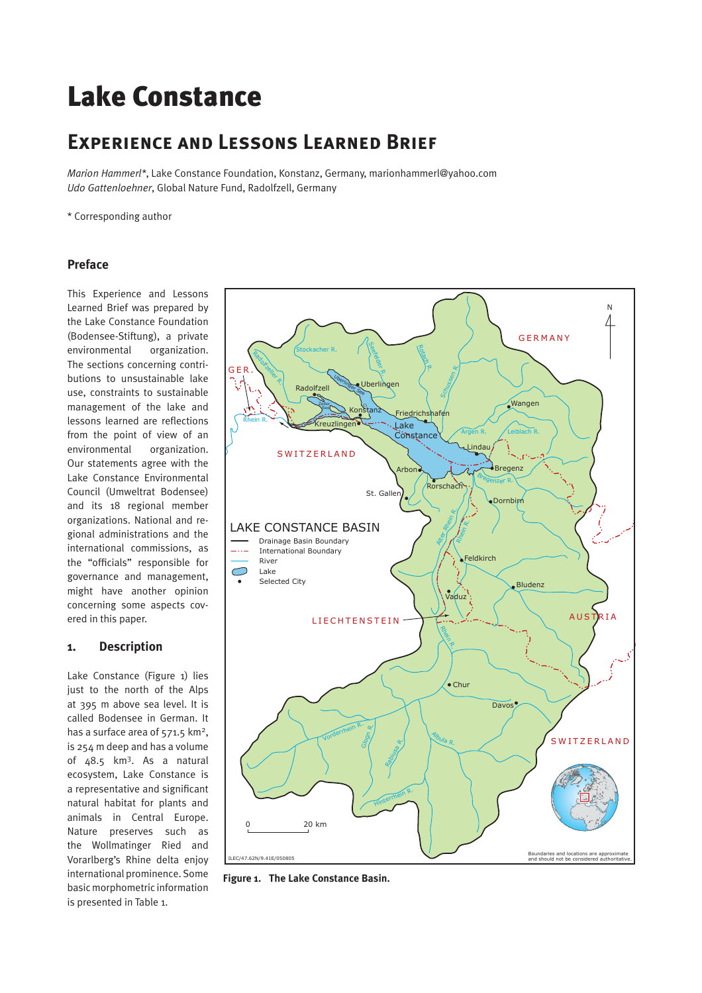# Lake Constance

# **Experience and Lessons Learned Brief**

*Marion Hammerl\**, Lake Constance Foundation, Konstanz, Germany, marionhammerl@yahoo.com *Udo Gattenloehner*, Global Nature Fund, Radolfzell, Germany

\* Corresponding author

# **Preface**

This Experience and Lessons Learned Brief was prepared by the Lake Constance Foundation (Bodensee-Stiftung), a private environmental organization. The sections concerning contributions to unsustainable lake use, constraints to sustainable management of the lake and lessons learned are reflections from the point of view of an environmental organization. Our statements agree with the Lake Constance Environmental Council (Umweltrat Bodensee) and its 18 regional member organizations. National and regional administrations and the international commissions, as the "officials" responsible for governance and management, might have another opinion concerning some aspects covered in this paper.

# **1. Description**

Lake Constance (Figure 1) lies just to the north of the Alps at 395 m above sea level. It is called Bodensee in German. It has a surface area of 571.5 km<sup>2</sup>. is 254 m deep and has a volume of 48.5 km3. As a natural ecosystem, Lake Constance is a representative and significant natural habitat for plants and animals in Central Europe. Nature preserves such as the Wollmatinger Ried and Vorarlberg's Rhine delta enjoy international prominence. Some basic morphometric information is presented in Table 1.



**Figure 1. The Lake Constance Basin.**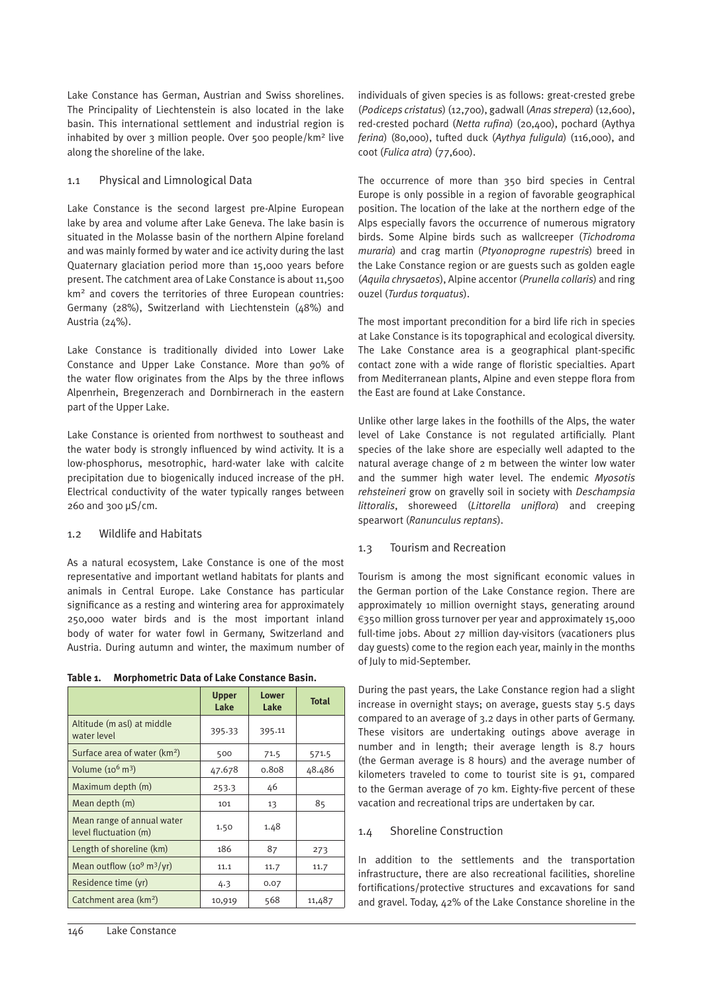Lake Constance has German, Austrian and Swiss shorelines. The Principality of Liechtenstein is also located in the lake basin. This international settlement and industrial region is inhabited by over 3 million people. Over 500 people/km2 live along the shoreline of the lake.

# 1.1 Physical and Limnological Data

Lake Constance is the second largest pre-Alpine European lake by area and volume after Lake Geneva. The lake basin is situated in the Molasse basin of the northern Alpine foreland and was mainly formed by water and ice activity during the last Quaternary glaciation period more than 15,000 years before present. The catchment area of Lake Constance is about 11,500 km2 and covers the territories of three European countries: Germany (28%), Switzerland with Liechtenstein (48%) and Austria (24%).

Lake Constance is traditionally divided into Lower Lake Constance and Upper Lake Constance. More than 90% of the water flow originates from the Alps by the three inflows Alpenrhein, Bregenzerach and Dornbirnerach in the eastern part of the Upper Lake.

Lake Constance is oriented from northwest to southeast and the water body is strongly influenced by wind activity. It is a low-phosphorus, mesotrophic, hard-water lake with calcite precipitation due to biogenically induced increase of the pH. Electrical conductivity of the water typically ranges between 260 and 300 µS/cm.

# 1.2 Wildlife and Habitats

As a natural ecosystem, Lake Constance is one of the most representative and important wetland habitats for plants and animals in Central Europe. Lake Constance has particular significance as a resting and wintering area for approximately 250,000 water birds and is the most important inland body of water for water fowl in Germany, Switzerland and Austria. During autumn and winter, the maximum number of

| Table 1. | <b>Morphometric Data of Lake Constance Basin.</b> |  |  |
|----------|---------------------------------------------------|--|--|
|          |                                                   |  |  |

|                                                     | <b>Upper</b><br>Lake | <b>Lower</b><br>Lake | <b>Total</b> |
|-----------------------------------------------------|----------------------|----------------------|--------------|
| Altitude (m asl) at middle<br>water level           | 395.33               | 395.11               |              |
| Surface area of water (km <sup>2</sup> )            | 500                  | 71.5                 | 571.5        |
| Volume $(10^6 \text{ m}^3)$                         | 47.678               | 0.808                | 48.486       |
| Maximum depth (m)                                   | 253.3                | 46                   |              |
| Mean depth (m)                                      | 101                  | 13                   | 85           |
| Mean range of annual water<br>level fluctuation (m) | 1.50                 | 1.48                 |              |
| Length of shoreline (km)                            | 186                  | 87                   | 273          |
| Mean outflow $(10^9 \text{ m}^3/\text{yr})$         | 11.1                 | 11.7                 | 11.7         |
| Residence time (yr)                                 | 4.3                  | 0.07                 |              |
| Catchment area (km <sup>2</sup> )                   | 10,919               | 568                  | 11,487       |

individuals of given species is as follows: great-crested grebe (*Podiceps cristatus*) (12,700), gadwall (*Anas strepera*) (12,600), red-crested pochard (*Netta rufina*) (20,400), pochard (Aythya *ferina*) (80,000), tufted duck (*Aythya fuligula*) (116,000), and coot (*Fulica atra*) (77,600).

The occurrence of more than 350 bird species in Central Europe is only possible in a region of favorable geographical position. The location of the lake at the northern edge of the Alps especially favors the occurrence of numerous migratory birds. Some Alpine birds such as wallcreeper (*Tichodroma muraria*) and crag martin (*Ptyonoprogne rupestris*) breed in the Lake Constance region or are guests such as golden eagle (*Aquila chrysaetos*), Alpine accentor (*Prunella collaris*) and ring ouzel (*Turdus torquatus*).

The most important precondition for a bird life rich in species at Lake Constance is its topographical and ecological diversity. The Lake Constance area is a geographical plant-specific contact zone with a wide range of floristic specialties. Apart from Mediterranean plants, Alpine and even steppe flora from the East are found at Lake Constance.

Unlike other large lakes in the foothills of the Alps, the water level of Lake Constance is not regulated artificially. Plant species of the lake shore are especially well adapted to the natural average change of 2 m between the winter low water and the summer high water level. The endemic *Myosotis rehsteineri* grow on gravelly soil in society with *Deschampsia littoralis*, shoreweed (*Littorella uniflora*) and creeping spearwort (*Ranunculus reptans*).

# 1.3 Tourism and Recreation

Tourism is among the most significant economic values in the German portion of the Lake Constance region. There are approximately 10 million overnight stays, generating around €350 million gross turnover per year and approximately 15,000 full-time jobs. About 27 million day-visitors (vacationers plus day guests) come to the region each year, mainly in the months of July to mid-September.

During the past years, the Lake Constance region had a slight increase in overnight stays; on average, guests stay 5.5 days compared to an average of 3.2 days in other parts of Germany. These visitors are undertaking outings above average in number and in length; their average length is 8.7 hours (the German average is 8 hours) and the average number of kilometers traveled to come to tourist site is 91, compared to the German average of 70 km. Eighty-five percent of these vacation and recreational trips are undertaken by car.

# 1.4 Shoreline Construction

In addition to the settlements and the transportation infrastructure, there are also recreational facilities, shoreline fortifications/protective structures and excavations for sand and gravel. Today, 42% of the Lake Constance shoreline in the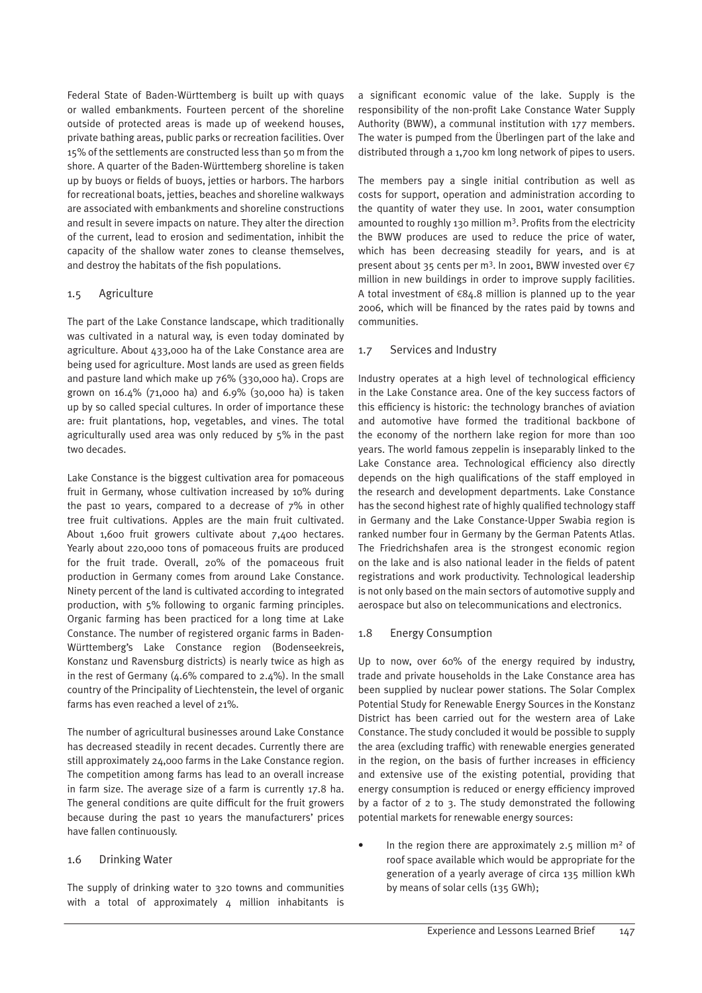Federal State of Baden-Württemberg is built up with quays or walled embankments. Fourteen percent of the shoreline outside of protected areas is made up of weekend houses, private bathing areas, public parks or recreation facilities. Over 15% of the settlements are constructed less than 50 m from the shore. A quarter of the Baden-Württemberg shoreline is taken up by buoys or fields of buoys, jetties or harbors. The harbors for recreational boats, jetties, beaches and shoreline walkways are associated with embankments and shoreline constructions and result in severe impacts on nature. They alter the direction of the current, lead to erosion and sedimentation, inhibit the capacity of the shallow water zones to cleanse themselves, and destroy the habitats of the fish populations.

# 1.5 Agriculture

The part of the Lake Constance landscape, which traditionally was cultivated in a natural way, is even today dominated by agriculture. About 433,000 ha of the Lake Constance area are being used for agriculture. Most lands are used as green fields and pasture land which make up 76% (330,000 ha). Crops are grown on 16.4% (71,000 ha) and 6.9% (30,000 ha) is taken up by so called special cultures. In order of importance these are: fruit plantations, hop, vegetables, and vines. The total agriculturally used area was only reduced by 5% in the past two decades.

Lake Constance is the biggest cultivation area for pomaceous fruit in Germany, whose cultivation increased by 10% during the past 10 years, compared to a decrease of 7% in other tree fruit cultivations. Apples are the main fruit cultivated. About 1,600 fruit growers cultivate about 7,400 hectares. Yearly about 220,000 tons of pomaceous fruits are produced for the fruit trade. Overall, 20% of the pomaceous fruit production in Germany comes from around Lake Constance. Ninety percent of the land is cultivated according to integrated production, with 5% following to organic farming principles. Organic farming has been practiced for a long time at Lake Constance. The number of registered organic farms in Baden-Württemberg's Lake Constance region (Bodenseekreis, Konstanz und Ravensburg districts) is nearly twice as high as in the rest of Germany  $(4.6\%$  compared to  $2.4\%$ ). In the small country of the Principality of Liechtenstein, the level of organic farms has even reached a level of 21%.

The number of agricultural businesses around Lake Constance has decreased steadily in recent decades. Currently there are still approximately 24,000 farms in the Lake Constance region. The competition among farms has lead to an overall increase in farm size. The average size of a farm is currently 17.8 ha. The general conditions are quite difficult for the fruit growers because during the past 10 years the manufacturers' prices have fallen continuously.

# 1.6 Drinking Water

The supply of drinking water to 320 towns and communities with a total of approximately 4 million inhabitants is a significant economic value of the lake. Supply is the responsibility of the non-profit Lake Constance Water Supply Authority (BWW), a communal institution with 177 members. The water is pumped from the Überlingen part of the lake and distributed through a 1,700 km long network of pipes to users.

The members pay a single initial contribution as well as costs for support, operation and administration according to the quantity of water they use. In 2001, water consumption amounted to roughly 130 million m<sup>3</sup>. Profits from the electricity the BWW produces are used to reduce the price of water, which has been decreasing steadily for years, and is at present about 35 cents per m<sup>3</sup>. In 2001, BWW invested over €7 million in new buildings in order to improve supply facilities. A total investment of  $€84.8$  million is planned up to the year 2006, which will be financed by the rates paid by towns and communities.

#### 1.7 Services and Industry

Industry operates at a high level of technological efficiency in the Lake Constance area. One of the key success factors of this efficiency is historic: the technology branches of aviation and automotive have formed the traditional backbone of the economy of the northern lake region for more than 100 years. The world famous zeppelin is inseparably linked to the Lake Constance area. Technological efficiency also directly depends on the high qualifications of the staff employed in the research and development departments. Lake Constance has the second highest rate of highly qualified technology staff in Germany and the Lake Constance-Upper Swabia region is ranked number four in Germany by the German Patents Atlas. The Friedrichshafen area is the strongest economic region on the lake and is also national leader in the fields of patent registrations and work productivity. Technological leadership is not only based on the main sectors of automotive supply and aerospace but also on telecommunications and electronics.

# 1.8 Energy Consumption

Up to now, over 60% of the energy required by industry, trade and private households in the Lake Constance area has been supplied by nuclear power stations. The Solar Complex Potential Study for Renewable Energy Sources in the Konstanz District has been carried out for the western area of Lake Constance. The study concluded it would be possible to supply the area (excluding traffic) with renewable energies generated in the region, on the basis of further increases in efficiency and extensive use of the existing potential, providing that energy consumption is reduced or energy efficiency improved by a factor of 2 to 3. The study demonstrated the following potential markets for renewable energy sources:

In the region there are approximately 2.5 million  $m<sup>2</sup>$  of roof space available which would be appropriate for the generation of a yearly average of circa 135 million kWh by means of solar cells (135 GWh);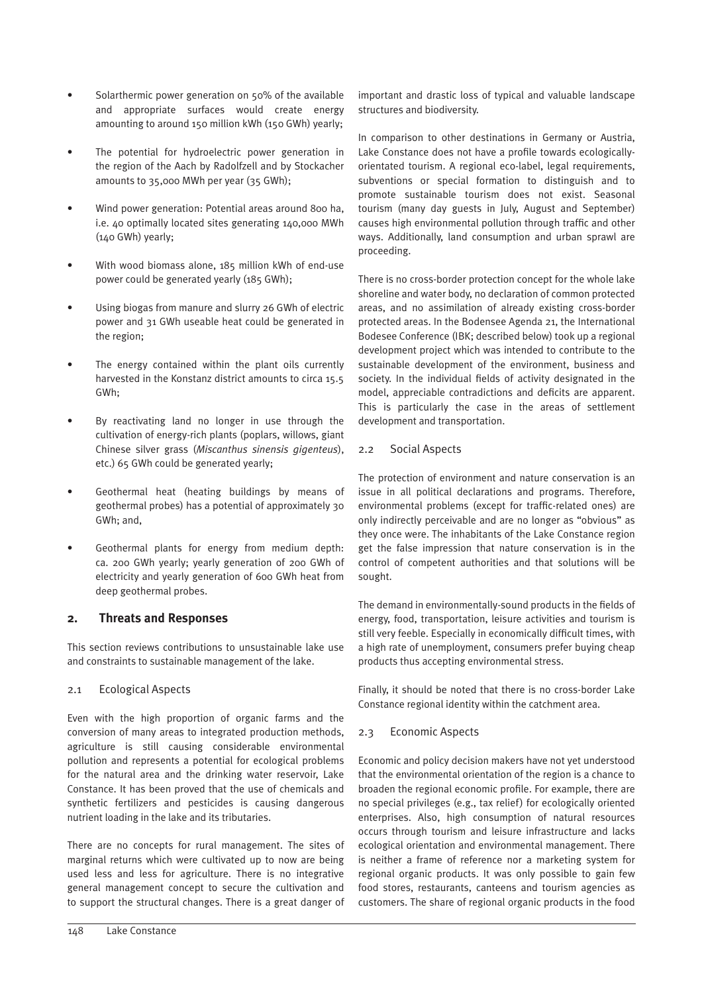- Solarthermic power generation on 50% of the available and appropriate surfaces would create energy amounting to around 150 million kWh (150 GWh) yearly;
- The potential for hydroelectric power generation in the region of the Aach by Radolfzell and by Stockacher amounts to 35,000 MWh per year (35 GWh);
- Wind power generation: Potential areas around 800 ha, i.e. 40 optimally located sites generating 140,000 MWh (140 GWh) yearly;
- With wood biomass alone, 185 million kWh of end-use power could be generated yearly (185 GWh);
- Using biogas from manure and slurry 26 GWh of electric power and 31 GWh useable heat could be generated in the region;
- The energy contained within the plant oils currently harvested in the Konstanz district amounts to circa 15.5 GWh;
- By reactivating land no longer in use through the cultivation of energy-rich plants (poplars, willows, giant Chinese silver grass (*Miscanthus sinensis gigenteus*), etc.) 65 GWh could be generated yearly;
- Geothermal heat (heating buildings by means of geothermal probes) has a potential of approximately 30 GWh; and,
- Geothermal plants for energy from medium depth: ca. 200 GWh yearly; yearly generation of 200 GWh of electricity and yearly generation of 600 GWh heat from deep geothermal probes.

# **2. Threats and Responses**

This section reviews contributions to unsustainable lake use and constraints to sustainable management of the lake.

# 2.1 Ecological Aspects

Even with the high proportion of organic farms and the conversion of many areas to integrated production methods, agriculture is still causing considerable environmental pollution and represents a potential for ecological problems for the natural area and the drinking water reservoir, Lake Constance. It has been proved that the use of chemicals and synthetic fertilizers and pesticides is causing dangerous nutrient loading in the lake and its tributaries.

There are no concepts for rural management. The sites of marginal returns which were cultivated up to now are being used less and less for agriculture. There is no integrative general management concept to secure the cultivation and to support the structural changes. There is a great danger of important and drastic loss of typical and valuable landscape structures and biodiversity.

In comparison to other destinations in Germany or Austria, Lake Constance does not have a profile towards ecologicallyorientated tourism. A regional eco-label, legal requirements, subventions or special formation to distinguish and to promote sustainable tourism does not exist. Seasonal tourism (many day guests in July, August and September) causes high environmental pollution through traffic and other ways. Additionally, land consumption and urban sprawl are proceeding.

There is no cross-border protection concept for the whole lake shoreline and water body, no declaration of common protected areas, and no assimilation of already existing cross-border protected areas. In the Bodensee Agenda 21, the International Bodesee Conference (IBK; described below) took up a regional development project which was intended to contribute to the sustainable development of the environment, business and society. In the individual fields of activity designated in the model, appreciable contradictions and deficits are apparent. This is particularly the case in the areas of settlement development and transportation.

# 2.2 Social Aspects

The protection of environment and nature conservation is an issue in all political declarations and programs. Therefore, environmental problems (except for traffic-related ones) are only indirectly perceivable and are no longer as "obvious" as they once were. The inhabitants of the Lake Constance region get the false impression that nature conservation is in the control of competent authorities and that solutions will be sought.

The demand in environmentally-sound products in the fields of energy, food, transportation, leisure activities and tourism is still very feeble. Especially in economically difficult times, with a high rate of unemployment, consumers prefer buying cheap products thus accepting environmental stress.

Finally, it should be noted that there is no cross-border Lake Constance regional identity within the catchment area.

# 2.3 Economic Aspects

Economic and policy decision makers have not yet understood that the environmental orientation of the region is a chance to broaden the regional economic profile. For example, there are no special privileges (e.g., tax relief) for ecologically oriented enterprises. Also, high consumption of natural resources occurs through tourism and leisure infrastructure and lacks ecological orientation and environmental management. There is neither a frame of reference nor a marketing system for regional organic products. It was only possible to gain few food stores, restaurants, canteens and tourism agencies as customers. The share of regional organic products in the food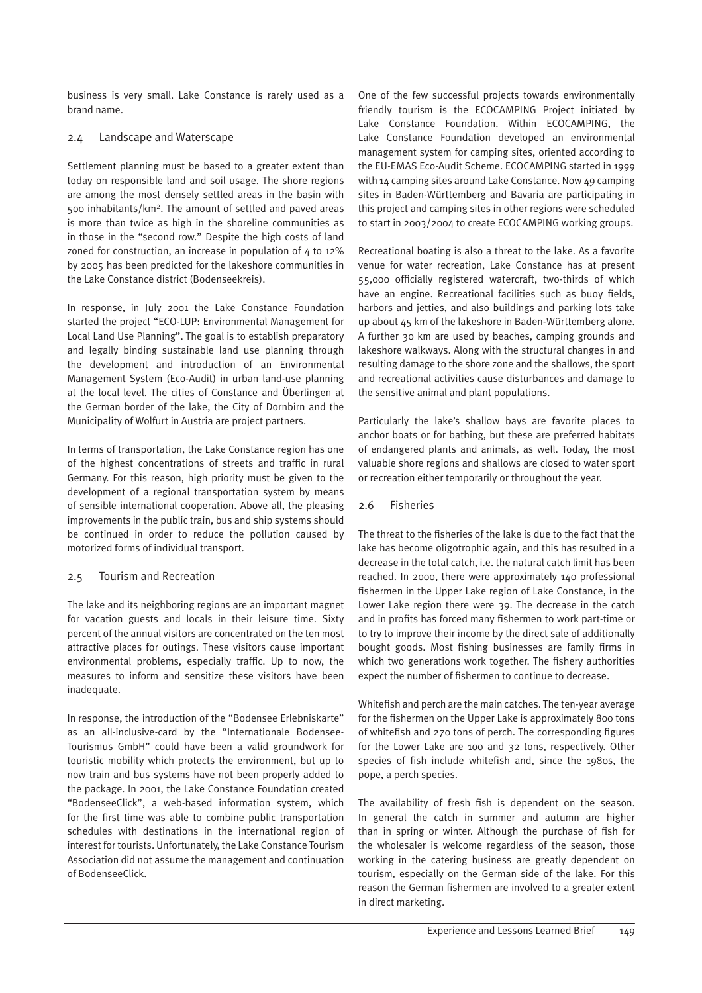business is very small. Lake Constance is rarely used as a brand name.

# 2.4 Landscape and Waterscape

Settlement planning must be based to a greater extent than today on responsible land and soil usage. The shore regions are among the most densely settled areas in the basin with 500 inhabitants/km2. The amount of settled and paved areas is more than twice as high in the shoreline communities as in those in the "second row." Despite the high costs of land zoned for construction, an increase in population of  $4$  to 12% by 2005 has been predicted for the lakeshore communities in the Lake Constance district (Bodenseekreis).

In response, in July 2001 the Lake Constance Foundation started the project "ECO-LUP: Environmental Management for Local Land Use Planning". The goal is to establish preparatory and legally binding sustainable land use planning through the development and introduction of an Environmental Management System (Eco-Audit) in urban land-use planning at the local level. The cities of Constance and Überlingen at the German border of the lake, the City of Dornbirn and the Municipality of Wolfurt in Austria are project partners.

In terms of transportation, the Lake Constance region has one of the highest concentrations of streets and traffic in rural Germany. For this reason, high priority must be given to the development of a regional transportation system by means of sensible international cooperation. Above all, the pleasing improvements in the public train, bus and ship systems should be continued in order to reduce the pollution caused by motorized forms of individual transport.

# 2.5 Tourism and Recreation

The lake and its neighboring regions are an important magnet for vacation guests and locals in their leisure time. Sixty percent of the annual visitors are concentrated on the ten most attractive places for outings. These visitors cause important environmental problems, especially traffic. Up to now, the measures to inform and sensitize these visitors have been inadequate.

In response, the introduction of the "Bodensee Erlebniskarte" as an all-inclusive-card by the "Internationale Bodensee-Tourismus GmbH" could have been a valid groundwork for touristic mobility which protects the environment, but up to now train and bus systems have not been properly added to the package. In 2001, the Lake Constance Foundation created "BodenseeClick", a web-based information system, which for the first time was able to combine public transportation schedules with destinations in the international region of interest for tourists. Unfortunately, the Lake Constance Tourism Association did not assume the management and continuation of BodenseeClick.

One of the few successful projects towards environmentally friendly tourism is the ECOCAMPING Project initiated by Lake Constance Foundation. Within ECOCAMPING, the Lake Constance Foundation developed an environmental management system for camping sites, oriented according to the EU-EMAS Eco-Audit Scheme. ECOCAMPING started in 1999 with 14 camping sites around Lake Constance. Now 49 camping sites in Baden-Württemberg and Bavaria are participating in this project and camping sites in other regions were scheduled to start in 2003/2004 to create ECOCAMPING working groups.

Recreational boating is also a threat to the lake. As a favorite venue for water recreation, Lake Constance has at present 55,000 officially registered watercraft, two-thirds of which have an engine. Recreational facilities such as buoy fields, harbors and jetties, and also buildings and parking lots take up about 45 km of the lakeshore in Baden-Württemberg alone. A further 30 km are used by beaches, camping grounds and lakeshore walkways. Along with the structural changes in and resulting damage to the shore zone and the shallows, the sport and recreational activities cause disturbances and damage to the sensitive animal and plant populations.

Particularly the lake's shallow bays are favorite places to anchor boats or for bathing, but these are preferred habitats of endangered plants and animals, as well. Today, the most valuable shore regions and shallows are closed to water sport or recreation either temporarily or throughout the year.

# 2.6 Fisheries

The threat to the fisheries of the lake is due to the fact that the lake has become oligotrophic again, and this has resulted in a decrease in the total catch, i.e. the natural catch limit has been reached. In 2000, there were approximately 140 professional fishermen in the Upper Lake region of Lake Constance, in the Lower Lake region there were 39. The decrease in the catch and in profits has forced many fishermen to work part-time or to try to improve their income by the direct sale of additionally bought goods. Most fishing businesses are family firms in which two generations work together. The fishery authorities expect the number of fishermen to continue to decrease.

Whitefish and perch are the main catches. The ten-year average for the fishermen on the Upper Lake is approximately 800 tons of whitefish and 270 tons of perch. The corresponding figures for the Lower Lake are 100 and 32 tons, respectively. Other species of fish include whitefish and, since the 1980s, the pope, a perch species.

The availability of fresh fish is dependent on the season. In general the catch in summer and autumn are higher than in spring or winter. Although the purchase of fish for the wholesaler is welcome regardless of the season, those working in the catering business are greatly dependent on tourism, especially on the German side of the lake. For this reason the German fishermen are involved to a greater extent in direct marketing.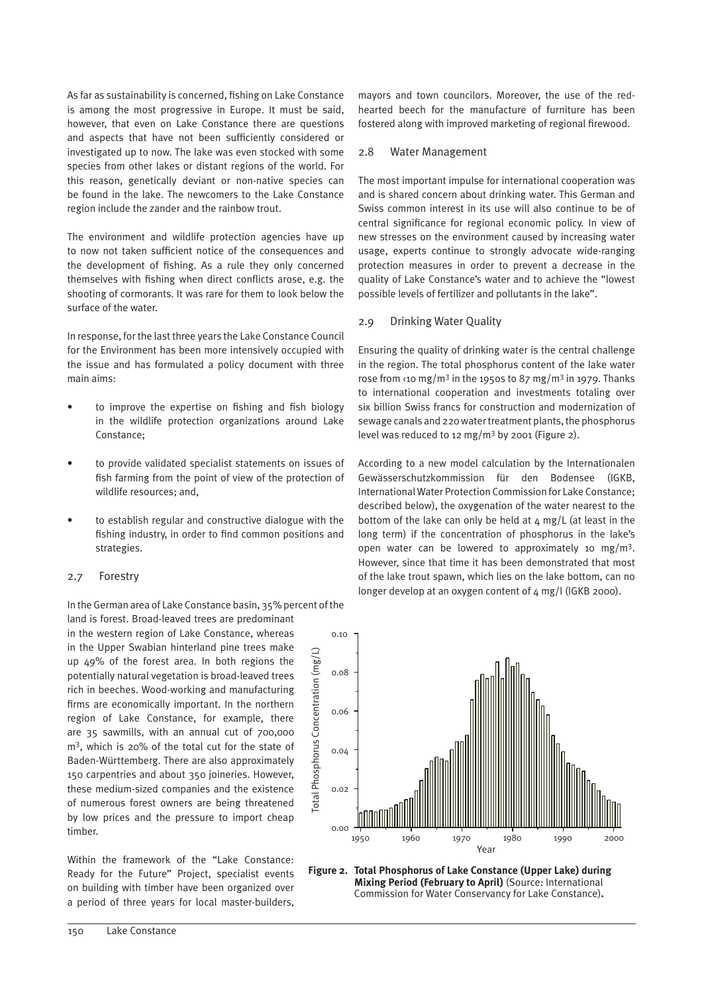As far as sustainability is concerned, fishing on Lake Constance is among the most progressive in Europe. It must be said, however, that even on Lake Constance there are questions and aspects that have not been sufficiently considered or investigated up to now. The lake was even stocked with some species from other lakes or distant regions of the world. For this reason, genetically deviant or non-native species can be found in the lake. The newcomers to the Lake Constance region include the zander and the rainbow trout.

The environment and wildlife protection agencies have up to now not taken sufficient notice of the consequences and the development of fishing. As a rule they only concerned themselves with fishing when direct conflicts arose, e.g. the shooting of cormorants. It was rare for them to look below the surface of the water.

In response, for the last three years the Lake Constance Council for the Environment has been more intensively occupied with the issue and has formulated a policy document with three main aims:

- to improve the expertise on fishing and fish biology in the wildlife protection organizations around Lake Constance;
- to provide validated specialist statements on issues of fish farming from the point of view of the protection of wildlife resources; and,
- to establish regular and constructive dialogue with the fishing industry, in order to find common positions and strategies.

# 2.7 Forestry

In the German area of Lake Constance basin, 35% percent of the land is forest. Broad-leaved trees are predominant

in the western region of Lake Constance, whereas in the Upper Swabian hinterland pine trees make up 49% of the forest area. In both regions the potentially natural vegetation is broad-leaved trees rich in beeches. Wood-working and manufacturing firms are economically important. In the northern region of Lake Constance, for example, there are 35 sawmills, with an annual cut of 700,000 m3, which is 20% of the total cut for the state of Baden-Württemberg. There are also approximately 150 carpentries and about 350 joineries. However, these medium-sized companies and the existence of numerous forest owners are being threatened by low prices and the pressure to import cheap timber.

Within the framework of the "Lake Constance: Ready for the Future" Project, specialist events on building with timber have been organized over a period of three years for local master-builders, mayors and town councilors. Moreover, the use of the redhearted beech for the manufacture of furniture has been fostered along with improved marketing of regional firewood.

#### 2.8 Water Management

The most important impulse for international cooperation was and is shared concern about drinking water. This German and Swiss common interest in its use will also continue to be of central significance for regional economic policy. In view of new stresses on the environment caused by increasing water usage, experts continue to strongly advocate wide-ranging protection measures in order to prevent a decrease in the quality of Lake Constance's water and to achieve the "lowest possible levels of fertilizer and pollutants in the lake".

#### 2.9 Drinking Water Quality

Ensuring the quality of drinking water is the central challenge in the region. The total phosphorus content of the lake water rose from  $\langle$ 10 mg/m<sup>3</sup> in the 1950s to 87 mg/m<sup>3</sup> in 1979. Thanks to international cooperation and investments totaling over six billion Swiss francs for construction and modernization of sewage canals and 220 water treatment plants, the phosphorus level was reduced to 12 mg/m<sup>3</sup> by 2001 (Figure 2).

According to a new model calculation by the Internationalen Gewässerschutzkommission für den Bodensee (IGKB, International Water Protection Commission for Lake Constance; described below), the oxygenation of the water nearest to the bottom of the lake can only be held at  $4 \text{ mg/L}$  (at least in the long term) if the concentration of phosphorus in the lake's open water can be lowered to approximately 10 mg/m<sup>3</sup>. However, since that time it has been demonstrated that most of the lake trout spawn, which lies on the lake bottom, can no longer develop at an oxygen content of 4 mg/l (IGKB 2000).



**Figure 2. Total Phosphorus of Lake Constance (Upper Lake) during Mixing Period (February to April)** (Source: International Commission for Water Conservancy for Lake Constance)**.**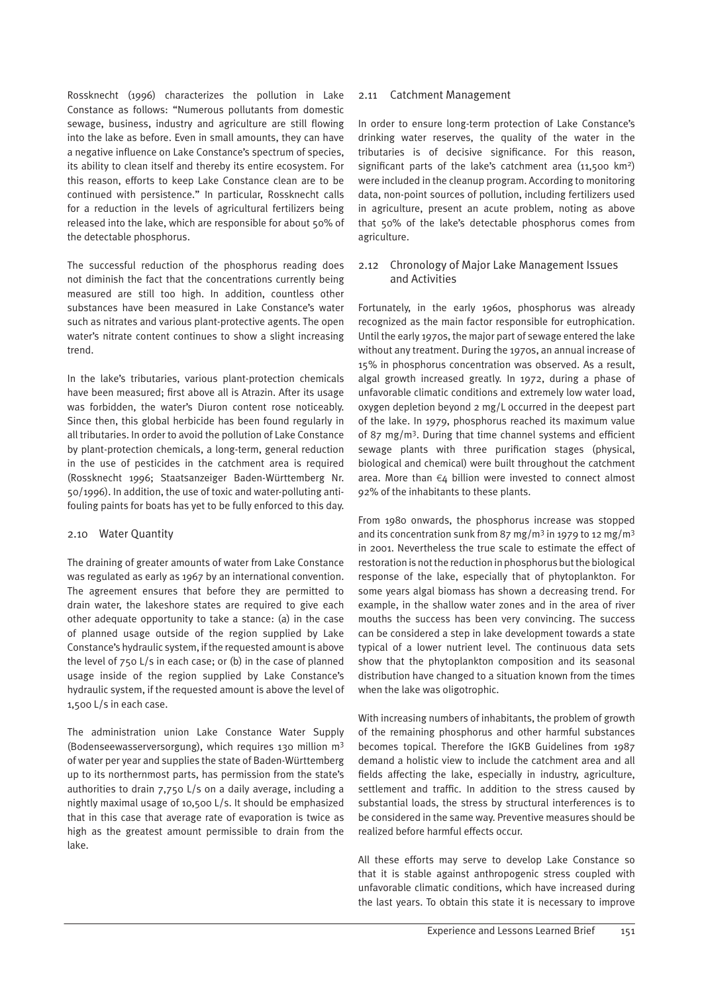Rossknecht (1996) characterizes the pollution in Lake Constance as follows: "Numerous pollutants from domestic sewage, business, industry and agriculture are still flowing into the lake as before. Even in small amounts, they can have a negative influence on Lake Constance's spectrum of species, its ability to clean itself and thereby its entire ecosystem. For this reason, efforts to keep Lake Constance clean are to be continued with persistence." In particular, Rossknecht calls for a reduction in the levels of agricultural fertilizers being released into the lake, which are responsible for about 50% of the detectable phosphorus.

The successful reduction of the phosphorus reading does not diminish the fact that the concentrations currently being measured are still too high. In addition, countless other substances have been measured in Lake Constance's water such as nitrates and various plant-protective agents. The open water's nitrate content continues to show a slight increasing trend.

In the lake's tributaries, various plant-protection chemicals have been measured; first above all is Atrazin. After its usage was forbidden, the water's Diuron content rose noticeably. Since then, this global herbicide has been found regularly in all tributaries. In order to avoid the pollution of Lake Constance by plant-protection chemicals, a long-term, general reduction in the use of pesticides in the catchment area is required (Rossknecht 1996; Staatsanzeiger Baden-Württemberg Nr. 50/1996). In addition, the use of toxic and water-polluting antifouling paints for boats has yet to be fully enforced to this day.

# 2.10 Water Quantity

The draining of greater amounts of water from Lake Constance was regulated as early as 1967 by an international convention. The agreement ensures that before they are permitted to drain water, the lakeshore states are required to give each other adequate opportunity to take a stance: (a) in the case of planned usage outside of the region supplied by Lake Constance's hydraulic system, if the requested amount is above the level of 750 L/s in each case; or (b) in the case of planned usage inside of the region supplied by Lake Constance's hydraulic system, if the requested amount is above the level of 1,500 L/s in each case.

The administration union Lake Constance Water Supply (Bodenseewasserversorgung), which requires 130 million m3 of water per year and supplies the state of Baden-Württemberg up to its northernmost parts, has permission from the state's authorities to drain 7,750 L/s on a daily average, including a nightly maximal usage of 10,500 L/s. It should be emphasized that in this case that average rate of evaporation is twice as high as the greatest amount permissible to drain from the lake.

# 2.11 Catchment Management

In order to ensure long-term protection of Lake Constance's drinking water reserves, the quality of the water in the tributaries is of decisive significance. For this reason, significant parts of the lake's catchment area (11,500 km<sup>2</sup>) were included in the cleanup program. According to monitoring data, non-point sources of pollution, including fertilizers used in agriculture, present an acute problem, noting as above that 50% of the lake's detectable phosphorus comes from agriculture.

# 2.12 Chronology of Major Lake Management Issues and Activities

Fortunately, in the early 1960s, phosphorus was already recognized as the main factor responsible for eutrophication. Until the early 1970s, the major part of sewage entered the lake without any treatment. During the 1970s, an annual increase of 15% in phosphorus concentration was observed. As a result, algal growth increased greatly. In 1972, during a phase of unfavorable climatic conditions and extremely low water load, oxygen depletion beyond 2 mg/L occurred in the deepest part of the lake. In 1979, phosphorus reached its maximum value of 87 mg/m3. During that time channel systems and efficient sewage plants with three purification stages (physical, biological and chemical) were built throughout the catchment area. More than €4 billion were invested to connect almost 92% of the inhabitants to these plants.

From 1980 onwards, the phosphorus increase was stopped and its concentration sunk from 87 mg/m<sup>3</sup> in 1979 to 12 mg/m<sup>3</sup> in 2001. Nevertheless the true scale to estimate the effect of restoration is not the reduction in phosphorus but the biological response of the lake, especially that of phytoplankton. For some years algal biomass has shown a decreasing trend. For example, in the shallow water zones and in the area of river mouths the success has been very convincing. The success can be considered a step in lake development towards a state typical of a lower nutrient level. The continuous data sets show that the phytoplankton composition and its seasonal distribution have changed to a situation known from the times when the lake was oligotrophic.

With increasing numbers of inhabitants, the problem of growth of the remaining phosphorus and other harmful substances becomes topical. Therefore the IGKB Guidelines from 1987 demand a holistic view to include the catchment area and all fields affecting the lake, especially in industry, agriculture, settlement and traffic. In addition to the stress caused by substantial loads, the stress by structural interferences is to be considered in the same way. Preventive measures should be realized before harmful effects occur.

All these efforts may serve to develop Lake Constance so that it is stable against anthropogenic stress coupled with unfavorable climatic conditions, which have increased during the last years. To obtain this state it is necessary to improve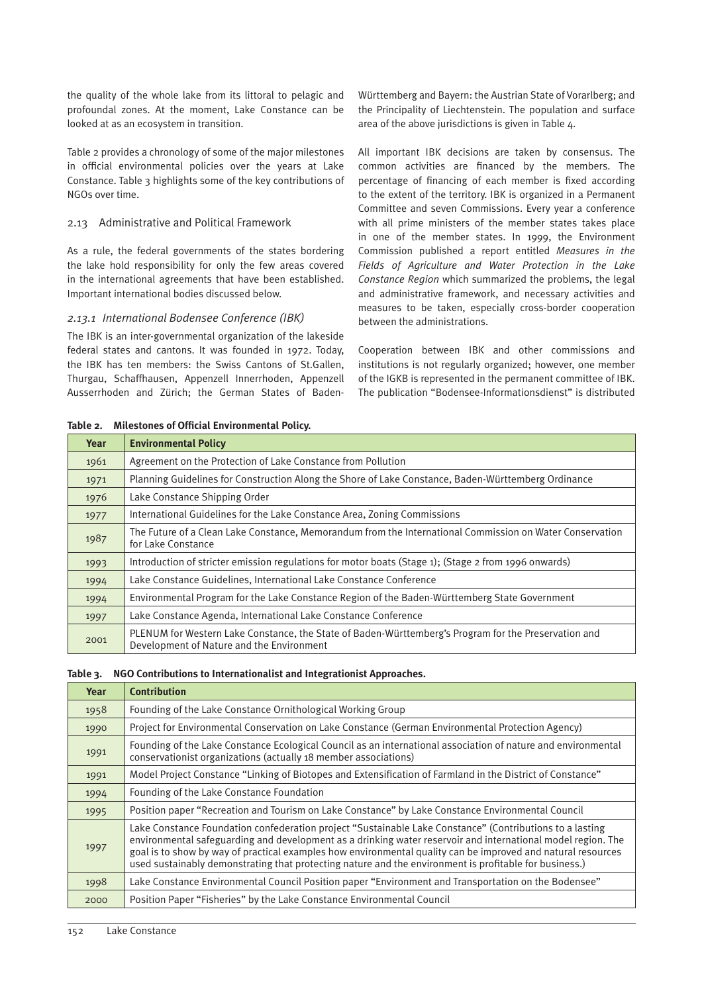the quality of the whole lake from its littoral to pelagic and profoundal zones. At the moment, Lake Constance can be looked at as an ecosystem in transition.

Table 2 provides a chronology of some of the major milestones in official environmental policies over the years at Lake Constance. Table 3 highlights some of the key contributions of NGOs over time.

# 2.13 Administrative and Political Framework

As a rule, the federal governments of the states bordering the lake hold responsibility for only the few areas covered in the international agreements that have been established. Important international bodies discussed below.

# *2.13.1 International Bodensee Conference (IBK)*

The IBK is an inter-governmental organization of the lakeside federal states and cantons. It was founded in 1972. Today, the IBK has ten members: the Swiss Cantons of St.Gallen, Thurgau, Schaffhausen, Appenzell Innerrhoden, Appenzell Ausserrhoden and Zürich; the German States of BadenWürttemberg and Bayern: the Austrian State of Vorarlberg; and the Principality of Liechtenstein. The population and surface area of the above jurisdictions is given in Table 4.

All important IBK decisions are taken by consensus. The common activities are financed by the members. The percentage of financing of each member is fixed according to the extent of the territory. IBK is organized in a Permanent Committee and seven Commissions. Every year a conference with all prime ministers of the member states takes place in one of the member states. In 1999, the Environment Commission published a report entitled *Measures in the Fields of Agriculture and Water Protection in the Lake Constance Region* which summarized the problems, the legal and administrative framework, and necessary activities and measures to be taken, especially cross-border cooperation between the administrations.

Cooperation between IBK and other commissions and institutions is not regularly organized; however, one member of the IGKB is represented in the permanent committee of IBK. The publication "Bodensee-Informationsdienst" is distributed

| Year | <b>Environmental Policy</b>                                                                                                                       |
|------|---------------------------------------------------------------------------------------------------------------------------------------------------|
| 1961 | Agreement on the Protection of Lake Constance from Pollution                                                                                      |
| 1971 | Planning Guidelines for Construction Along the Shore of Lake Constance, Baden-Württemberg Ordinance                                               |
| 1976 | Lake Constance Shipping Order                                                                                                                     |
| 1977 | International Guidelines for the Lake Constance Area, Zoning Commissions                                                                          |
| 1987 | The Future of a Clean Lake Constance, Memorandum from the International Commission on Water Conservation<br>for Lake Constance                    |
| 1993 | Introduction of stricter emission regulations for motor boats (Stage 1); (Stage 2 from 1996 onwards)                                              |
| 1994 | Lake Constance Guidelines, International Lake Constance Conference                                                                                |
| 1994 | Environmental Program for the Lake Constance Region of the Baden-Württemberg State Government                                                     |
| 1997 | Lake Constance Agenda, International Lake Constance Conference                                                                                    |
| 2001 | PLENUM for Western Lake Constance, the State of Baden-Württemberg's Program for the Preservation and<br>Development of Nature and the Environment |

# **Table 2. Milestones of Official Environmental Policy.**

#### **Table 3. NGO Contributions to Internationalist and Integrationist Approaches.**

| Year | <b>Contribution</b>                                                                                                                                                                                                                                                                                                                                                                                                                                |
|------|----------------------------------------------------------------------------------------------------------------------------------------------------------------------------------------------------------------------------------------------------------------------------------------------------------------------------------------------------------------------------------------------------------------------------------------------------|
| 1958 | Founding of the Lake Constance Ornithological Working Group                                                                                                                                                                                                                                                                                                                                                                                        |
| 1990 | Project for Environmental Conservation on Lake Constance (German Environmental Protection Agency)                                                                                                                                                                                                                                                                                                                                                  |
| 1991 | Founding of the Lake Constance Ecological Council as an international association of nature and environmental<br>conservationist organizations (actually 18 member associations)                                                                                                                                                                                                                                                                   |
| 1991 | Model Project Constance "Linking of Biotopes and Extensification of Farmland in the District of Constance"                                                                                                                                                                                                                                                                                                                                         |
| 1994 | Founding of the Lake Constance Foundation                                                                                                                                                                                                                                                                                                                                                                                                          |
| 1995 | Position paper "Recreation and Tourism on Lake Constance" by Lake Constance Environmental Council                                                                                                                                                                                                                                                                                                                                                  |
| 1997 | Lake Constance Foundation confederation project "Sustainable Lake Constance" (Contributions to a lasting<br>environmental safeguarding and development as a drinking water reservoir and international model region. The<br>goal is to show by way of practical examples how environmental quality can be improved and natural resources<br>used sustainably demonstrating that protecting nature and the environment is profitable for business.) |
| 1998 | Lake Constance Environmental Council Position paper "Environment and Transportation on the Bodensee"                                                                                                                                                                                                                                                                                                                                               |
| 2000 | Position Paper "Fisheries" by the Lake Constance Environmental Council                                                                                                                                                                                                                                                                                                                                                                             |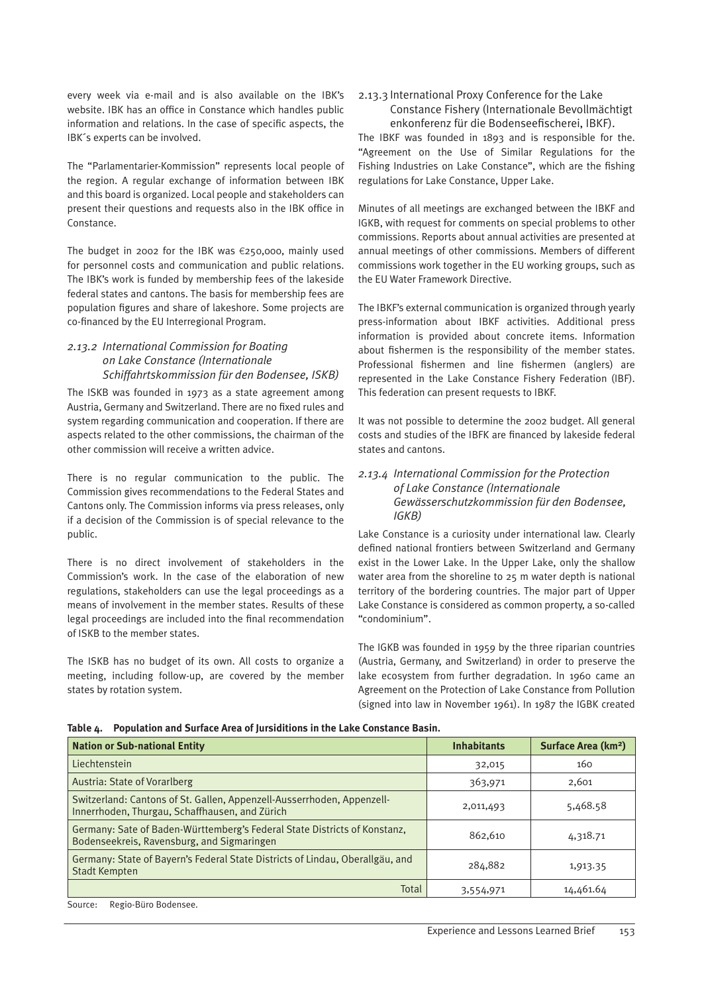every week via e-mail and is also available on the IBK's website. IBK has an office in Constance which handles public information and relations. In the case of specific aspects, the IBK´s experts can be involved.

The "Parlamentarier-Kommission" represents local people of the region. A regular exchange of information between IBK and this board is organized. Local people and stakeholders can present their questions and requests also in the IBK office in Constance.

The budget in 2002 for the IBK was €250,000, mainly used for personnel costs and communication and public relations. The IBK's work is funded by membership fees of the lakeside federal states and cantons. The basis for membership fees are population figures and share of lakeshore. Some projects are co-financed by the EU Interregional Program.

# *2.13.2 International Commission for Boating on Lake Constance (Internationale Schiffahrtskommission für den Bodensee, ISKB)*

The ISKB was founded in 1973 as a state agreement among Austria, Germany and Switzerland. There are no fixed rules and system regarding communication and cooperation. If there are aspects related to the other commissions, the chairman of the other commission will receive a written advice.

There is no regular communication to the public. The Commission gives recommendations to the Federal States and Cantons only. The Commission informs via press releases, only if a decision of the Commission is of special relevance to the public.

There is no direct involvement of stakeholders in the Commission's work. In the case of the elaboration of new regulations, stakeholders can use the legal proceedings as a means of involvement in the member states. Results of these legal proceedings are included into the final recommendation of ISKB to the member states.

The ISKB has no budget of its own. All costs to organize a meeting, including follow-up, are covered by the member states by rotation system.

2.13.3 International Proxy Conference for the Lake Constance Fishery (Internationale Bevollmächtigt enkonferenz für die Bodenseefischerei, IBKF).

The IBKF was founded in 1893 and is responsible for the. "Agreement on the Use of Similar Regulations for the Fishing Industries on Lake Constance", which are the fishing regulations for Lake Constance, Upper Lake.

Minutes of all meetings are exchanged between the IBKF and IGKB, with request for comments on special problems to other commissions. Reports about annual activities are presented at annual meetings of other commissions. Members of different commissions work together in the EU working groups, such as the EU Water Framework Directive.

The IBKF's external communication is organized through yearly press-information about IBKF activities. Additional press information is provided about concrete items. Information about fishermen is the responsibility of the member states. Professional fishermen and line fishermen (anglers) are represented in the Lake Constance Fishery Federation (IBF). This federation can present requests to IBKF.

It was not possible to determine the 2002 budget. All general costs and studies of the IBFK are financed by lakeside federal states and cantons.

# *2.13.4 International Commission for the Protection of Lake Constance (Internationale Gewässerschutzkommission für den Bodensee, IGKB)*

Lake Constance is a curiosity under international law. Clearly defined national frontiers between Switzerland and Germany exist in the Lower Lake. In the Upper Lake, only the shallow water area from the shoreline to 25 m water depth is national territory of the bordering countries. The major part of Upper Lake Constance is considered as common property, a so-called "condominium".

The IGKB was founded in 1959 by the three riparian countries (Austria, Germany, and Switzerland) in order to preserve the lake ecosystem from further degradation. In 1960 came an Agreement on the Protection of Lake Constance from Pollution (signed into law in November 1961). In 1987 the IGBK created

**Table 4. Population and Surface Area of Jursiditions in the Lake Constance Basin.**

| <b>Nation or Sub-national Entity</b>                                                                                     | <b>Inhabitants</b> | Surface Area (km <sup>2</sup> ) |
|--------------------------------------------------------------------------------------------------------------------------|--------------------|---------------------------------|
| Liechtenstein                                                                                                            | 32,015             | 160                             |
| Austria: State of Vorarlberg                                                                                             | 363,971            | 2,601                           |
| Switzerland: Cantons of St. Gallen, Appenzell-Ausserrhoden, Appenzell-<br>Innerrhoden, Thurgau, Schaffhausen, and Zürich | 2,011,493          | 5,468.58                        |
| Germany: Sate of Baden-Württemberg's Federal State Districts of Konstanz,<br>Bodenseekreis, Ravensburg, and Sigmaringen  | 862,610            | 4,318.71                        |
| Germany: State of Bayern's Federal State Districts of Lindau, Oberallgäu, and<br><b>Stadt Kempten</b>                    | 284,882            | 1,913.35                        |
| Total                                                                                                                    | 3,554,971          | 14,461.64                       |

Source: Regio-Büro Bodensee.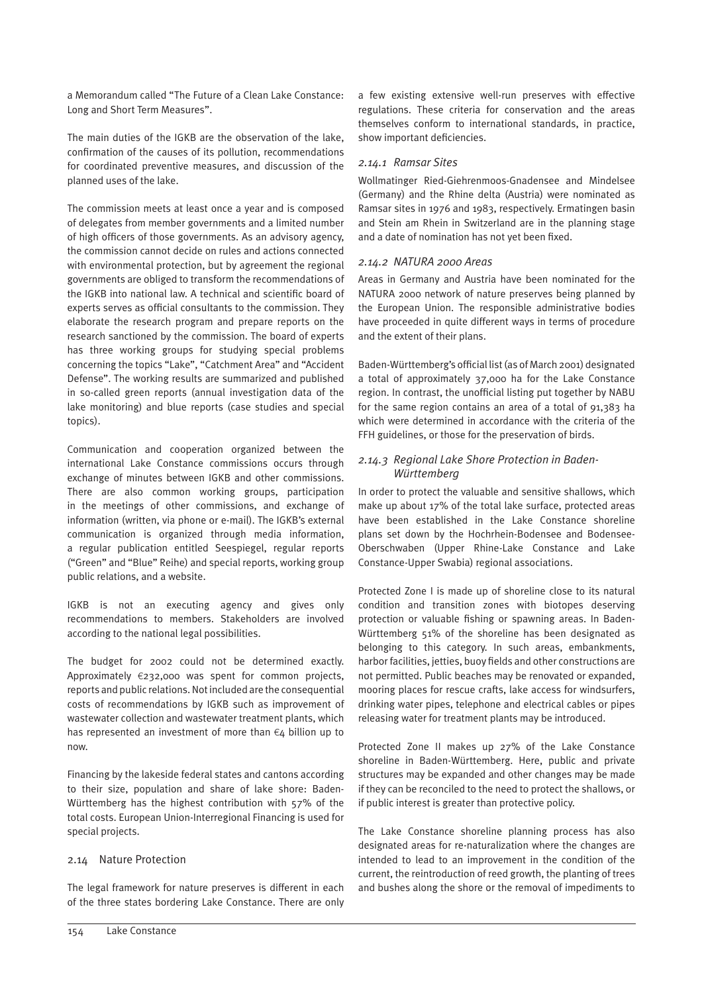a Memorandum called "The Future of a Clean Lake Constance: Long and Short Term Measures".

The main duties of the IGKB are the observation of the lake, confirmation of the causes of its pollution, recommendations for coordinated preventive measures, and discussion of the planned uses of the lake.

The commission meets at least once a year and is composed of delegates from member governments and a limited number of high officers of those governments. As an advisory agency, the commission cannot decide on rules and actions connected with environmental protection, but by agreement the regional governments are obliged to transform the recommendations of the IGKB into national law. A technical and scientific board of experts serves as official consultants to the commission. They elaborate the research program and prepare reports on the research sanctioned by the commission. The board of experts has three working groups for studying special problems concerning the topics "Lake", "Catchment Area" and "Accident Defense". The working results are summarized and published in so-called green reports (annual investigation data of the lake monitoring) and blue reports (case studies and special topics).

Communication and cooperation organized between the international Lake Constance commissions occurs through exchange of minutes between IGKB and other commissions. There are also common working groups, participation in the meetings of other commissions, and exchange of information (written, via phone or e-mail). The IGKB's external communication is organized through media information, a regular publication entitled Seespiegel, regular reports ("Green" and "Blue" Reihe) and special reports, working group public relations, and a website.

IGKB is not an executing agency and gives only recommendations to members. Stakeholders are involved according to the national legal possibilities.

The budget for 2002 could not be determined exactly. Approximately €232,000 was spent for common projects, reports and public relations. Not included are the consequential costs of recommendations by IGKB such as improvement of wastewater collection and wastewater treatment plants, which has represented an investment of more than €4 billion up to now.

Financing by the lakeside federal states and cantons according to their size, population and share of lake shore: Baden-Württemberg has the highest contribution with 57% of the total costs. European Union-Interregional Financing is used for special projects.

# 2.14 Nature Protection

The legal framework for nature preserves is different in each of the three states bordering Lake Constance. There are only a few existing extensive well-run preserves with effective regulations. These criteria for conservation and the areas themselves conform to international standards, in practice, show important deficiencies.

# *2.14.1 Ramsar Sites*

Wollmatinger Ried-Giehrenmoos-Gnadensee and Mindelsee (Germany) and the Rhine delta (Austria) were nominated as Ramsar sites in 1976 and 1983, respectively. Ermatingen basin and Stein am Rhein in Switzerland are in the planning stage and a date of nomination has not yet been fixed.

#### *2.14.2 NATURA 2000 Areas*

Areas in Germany and Austria have been nominated for the NATURA 2000 network of nature preserves being planned by the European Union. The responsible administrative bodies have proceeded in quite different ways in terms of procedure and the extent of their plans.

Baden-Württemberg's official list (as of March 2001) designated a total of approximately 37,000 ha for the Lake Constance region. In contrast, the unofficial listing put together by NABU for the same region contains an area of a total of 91,383 ha which were determined in accordance with the criteria of the FFH guidelines, or those for the preservation of birds.

# *2.14.3 Regional Lake Shore Protection in Baden-Württemberg*

In order to protect the valuable and sensitive shallows, which make up about 17% of the total lake surface, protected areas have been established in the Lake Constance shoreline plans set down by the Hochrhein-Bodensee and Bodensee-Oberschwaben (Upper Rhine-Lake Constance and Lake Constance-Upper Swabia) regional associations.

Protected Zone I is made up of shoreline close to its natural condition and transition zones with biotopes deserving protection or valuable fishing or spawning areas. In Baden-Württemberg 51% of the shoreline has been designated as belonging to this category. In such areas, embankments, harbor facilities, jetties, buoy fields and other constructions are not permitted. Public beaches may be renovated or expanded, mooring places for rescue crafts, lake access for windsurfers, drinking water pipes, telephone and electrical cables or pipes releasing water for treatment plants may be introduced.

Protected Zone II makes up 27% of the Lake Constance shoreline in Baden-Württemberg. Here, public and private structures may be expanded and other changes may be made if they can be reconciled to the need to protect the shallows, or if public interest is greater than protective policy.

The Lake Constance shoreline planning process has also designated areas for re-naturalization where the changes are intended to lead to an improvement in the condition of the current, the reintroduction of reed growth, the planting of trees and bushes along the shore or the removal of impediments to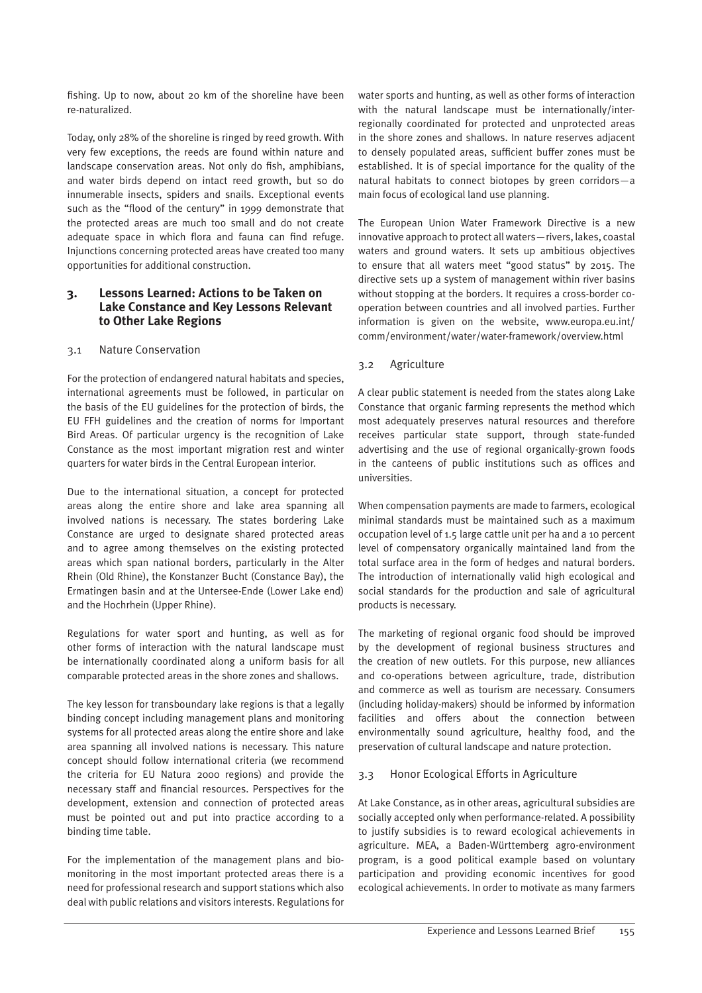fishing. Up to now, about 20 km of the shoreline have been re-naturalized.

Today, only 28% of the shoreline is ringed by reed growth. With very few exceptions, the reeds are found within nature and landscape conservation areas. Not only do fish, amphibians, and water birds depend on intact reed growth, but so do innumerable insects, spiders and snails. Exceptional events such as the "flood of the century" in 1999 demonstrate that the protected areas are much too small and do not create adequate space in which flora and fauna can find refuge. Injunctions concerning protected areas have created too many opportunities for additional construction.

# **3. Lessons Learned: Actions to be Taken on Lake Constance and Key Lessons Relevant to Other Lake Regions**

# 3.1 Nature Conservation

For the protection of endangered natural habitats and species, international agreements must be followed, in particular on the basis of the EU guidelines for the protection of birds, the EU FFH guidelines and the creation of norms for Important Bird Areas. Of particular urgency is the recognition of Lake Constance as the most important migration rest and winter quarters for water birds in the Central European interior.

Due to the international situation, a concept for protected areas along the entire shore and lake area spanning all involved nations is necessary. The states bordering Lake Constance are urged to designate shared protected areas and to agree among themselves on the existing protected areas which span national borders, particularly in the Alter Rhein (Old Rhine), the Konstanzer Bucht (Constance Bay), the Ermatingen basin and at the Untersee-Ende (Lower Lake end) and the Hochrhein (Upper Rhine).

Regulations for water sport and hunting, as well as for other forms of interaction with the natural landscape must be internationally coordinated along a uniform basis for all comparable protected areas in the shore zones and shallows.

The key lesson for transboundary lake regions is that a legally binding concept including management plans and monitoring systems for all protected areas along the entire shore and lake area spanning all involved nations is necessary. This nature concept should follow international criteria (we recommend the criteria for EU Natura 2000 regions) and provide the necessary staff and financial resources. Perspectives for the development, extension and connection of protected areas must be pointed out and put into practice according to a binding time table.

For the implementation of the management plans and biomonitoring in the most important protected areas there is a need for professional research and support stations which also deal with public relations and visitors interests. Regulations for water sports and hunting, as well as other forms of interaction with the natural landscape must be internationally/interregionally coordinated for protected and unprotected areas in the shore zones and shallows. In nature reserves adjacent to densely populated areas, sufficient buffer zones must be established. It is of special importance for the quality of the natural habitats to connect biotopes by green corridors—a main focus of ecological land use planning.

The European Union Water Framework Directive is a new innovative approach to protect all waters—rivers, lakes, coastal waters and ground waters. It sets up ambitious objectives to ensure that all waters meet "good status" by 2015. The directive sets up a system of management within river basins without stopping at the borders. It requires a cross-border cooperation between countries and all involved parties. Further information is given on the website, www.europa.eu.int/ comm/environment/water/water-framework/overview.html

# 3.2 Agriculture

A clear public statement is needed from the states along Lake Constance that organic farming represents the method which most adequately preserves natural resources and therefore receives particular state support, through state-funded advertising and the use of regional organically-grown foods in the canteens of public institutions such as offices and universities.

When compensation payments are made to farmers, ecological minimal standards must be maintained such as a maximum occupation level of 1.5 large cattle unit per ha and a 10 percent level of compensatory organically maintained land from the total surface area in the form of hedges and natural borders. The introduction of internationally valid high ecological and social standards for the production and sale of agricultural products is necessary.

The marketing of regional organic food should be improved by the development of regional business structures and the creation of new outlets. For this purpose, new alliances and co-operations between agriculture, trade, distribution and commerce as well as tourism are necessary. Consumers (including holiday-makers) should be informed by information facilities and offers about the connection between environmentally sound agriculture, healthy food, and the preservation of cultural landscape and nature protection.

# 3.3 Honor Ecological Efforts in Agriculture

At Lake Constance, as in other areas, agricultural subsidies are socially accepted only when performance-related. A possibility to justify subsidies is to reward ecological achievements in agriculture. MEA, a Baden-Württemberg agro-environment program, is a good political example based on voluntary participation and providing economic incentives for good ecological achievements. In order to motivate as many farmers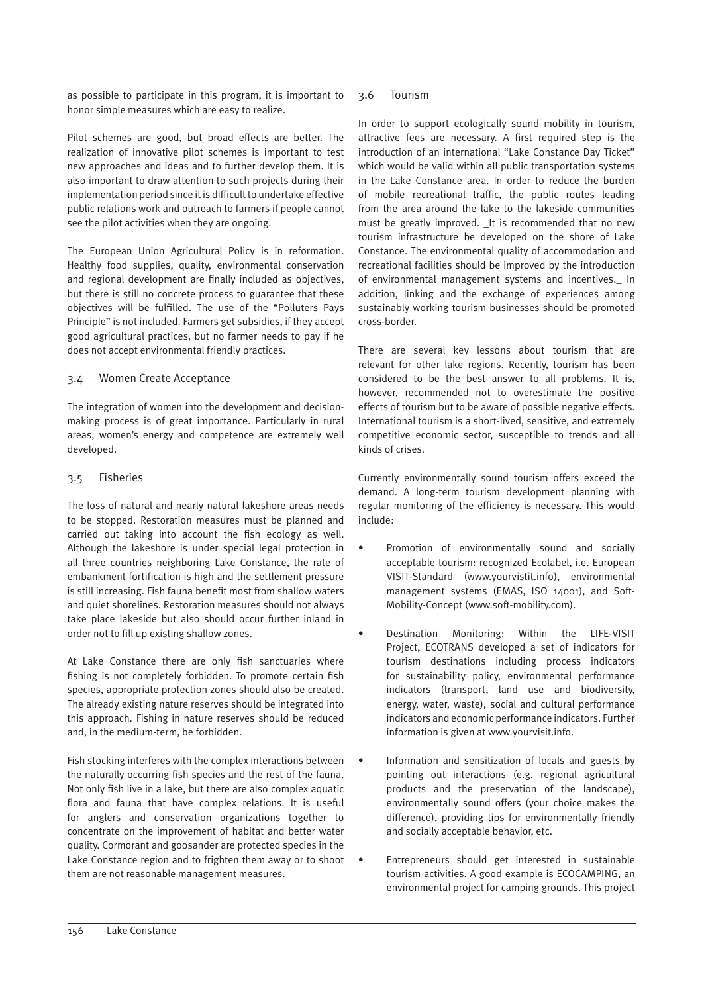as possible to participate in this program, it is important to honor simple measures which are easy to realize.

Pilot schemes are good, but broad effects are better. The realization of innovative pilot schemes is important to test new approaches and ideas and to further develop them. It is also important to draw attention to such projects during their implementation period since it is difficult to undertake effective public relations work and outreach to farmers if people cannot see the pilot activities when they are ongoing.

The European Union Agricultural Policy is in reformation. Healthy food supplies, quality, environmental conservation and regional development are finally included as objectives, but there is still no concrete process to guarantee that these objectives will be fulfilled. The use of the "Polluters Pays Principle" is not included. Farmers get subsidies, if they accept good agricultural practices, but no farmer needs to pay if he does not accept environmental friendly practices.

# 3.4 Women Create Acceptance

The integration of women into the development and decisionmaking process is of great importance. Particularly in rural areas, women's energy and competence are extremely well developed.

# 3.5 Fisheries

The loss of natural and nearly natural lakeshore areas needs to be stopped. Restoration measures must be planned and carried out taking into account the fish ecology as well. Although the lakeshore is under special legal protection in all three countries neighboring Lake Constance, the rate of embankment fortification is high and the settlement pressure is still increasing. Fish fauna benefit most from shallow waters and quiet shorelines. Restoration measures should not always take place lakeside but also should occur further inland in order not to fill up existing shallow zones.

At Lake Constance there are only fish sanctuaries where fishing is not completely forbidden. To promote certain fish species, appropriate protection zones should also be created. The already existing nature reserves should be integrated into this approach. Fishing in nature reserves should be reduced and, in the medium-term, be forbidden.

Fish stocking interferes with the complex interactions between the naturally occurring fish species and the rest of the fauna. Not only fish live in a lake, but there are also complex aquatic flora and fauna that have complex relations. It is useful for anglers and conservation organizations together to concentrate on the improvement of habitat and better water quality. Cormorant and goosander are protected species in the Lake Constance region and to frighten them away or to shoot them are not reasonable management measures.

# 3.6 Tourism

In order to support ecologically sound mobility in tourism, attractive fees are necessary. A first required step is the introduction of an international "Lake Constance Day Ticket" which would be valid within all public transportation systems in the Lake Constance area. In order to reduce the burden of mobile recreational traffic, the public routes leading from the area around the lake to the lakeside communities must be greatly improved. \_It is recommended that no new tourism infrastructure be developed on the shore of Lake Constance. The environmental quality of accommodation and recreational facilities should be improved by the introduction of environmental management systems and incentives.\_ In addition, linking and the exchange of experiences among sustainably working tourism businesses should be promoted cross-border.

There are several key lessons about tourism that are relevant for other lake regions. Recently, tourism has been considered to be the best answer to all problems. It is, however, recommended not to overestimate the positive effects of tourism but to be aware of possible negative effects. International tourism is a short-lived, sensitive, and extremely competitive economic sector, susceptible to trends and all kinds of crises.

Currently environmentally sound tourism offers exceed the demand. A long-term tourism development planning with regular monitoring of the efficiency is necessary. This would include:

- Promotion of environmentally sound and socially acceptable tourism: recognized Ecolabel, i.e. European VISIT-Standard (www.yourvistit.info), environmental management systems (EMAS, ISO 14001), and Soft-Mobility-Concept (www.soft-mobility.com).
- Destination Monitoring: Within the LIFE-VISIT Project, ECOTRANS developed a set of indicators for tourism destinations including process indicators for sustainability policy, environmental performance indicators (transport, land use and biodiversity, energy, water, waste), social and cultural performance indicators and economic performance indicators. Further information is given at www.yourvisit.info.
- Information and sensitization of locals and guests by pointing out interactions (e.g. regional agricultural products and the preservation of the landscape), environmentally sound offers (your choice makes the difference), providing tips for environmentally friendly and socially acceptable behavior, etc.
- Entrepreneurs should get interested in sustainable tourism activities. A good example is ECOCAMPING, an environmental project for camping grounds. This project